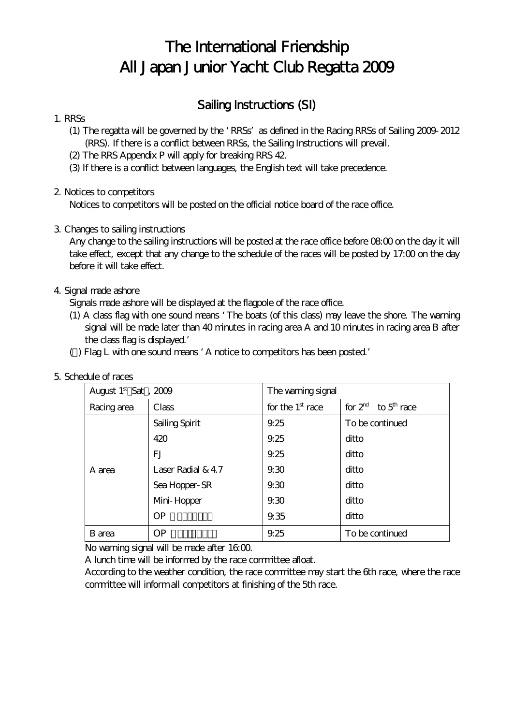# The International Friendship All Japan Junior Yacht Club Regatta 2009

# Sailing Instructions (SI)

#### 1. RRSs

- (1) The regatta will be governed by the RRSs as defined in the Racing RRSs of Sailing 2009-2012 (RRS). If there is a conflict between RRSs, the Sailing Instructions will prevail.
- (2) The RRS Appendix P will apply for breaking RRS 42.
- (3) If there is a conflict between languages, the English text will take precedence.

# 2. Notices to competitors

Notices to competitors will be posted on the official notice board of the race office.

# 3. Changes to sailing instructions

Any change to the sailing instructions will be posted at the race office before  $0800$  on the day it will take effect, except that any change to the schedule of the races will be posted by 17:00 on the day before it will take effect.

#### 4. Signal made ashore

Signals made ashore will be displayed at the flagpole of the race office.

- (1) A class flag with one sound means The boats (of this class) may leave the shore. The warning signal will be made later than 40 minutes in racing area A and 10 minutes in racing area B after the class flag is displayed.
- ( ) Flag L with one sound means A notice to competitors has been posted.

| August $1st$ Sat, $2009$ |                    | The warning signal |                         |
|--------------------------|--------------------|--------------------|-------------------------|
| Racing area              | Class              | for the $1st$ race | for $2rd$ to $5th$ race |
| A area                   | Sailing Spirit     | 9.25               | To be continued         |
|                          | 420                | 9.25               | ditto                   |
|                          | FJ                 | 9.25               | ditto                   |
|                          | Laser Radial $&47$ | 9.30               | ditto                   |
|                          | Sea Hopper-SR      | 9.30               | ditto                   |
|                          | Mini-Hopper        | 930                | ditto                   |
|                          | <b>OP</b>          | 9.35               | ditto                   |
| B area                   | OP                 | 9.25               | To be continued         |

# 5. Schedule of races

No warning signal will be made after  $1600$ .

A lunch time will be informed by the race committee afloat.

According to the weather condition, the race committee may start the 6th race, where the race committee will inform all competitors at finishing of the 5th race.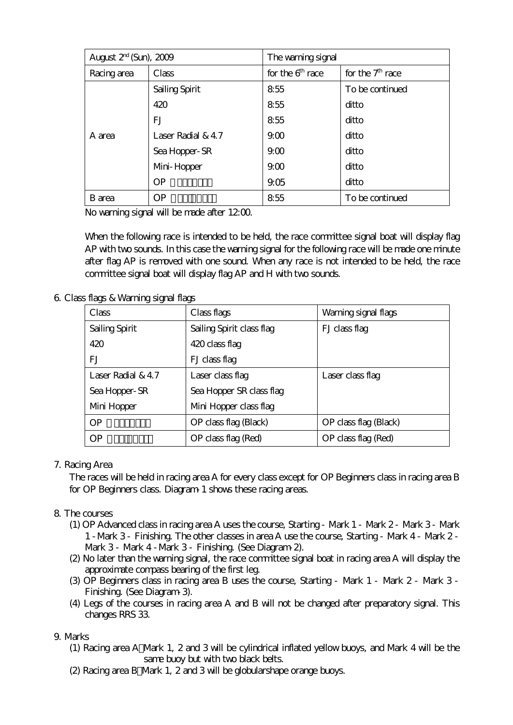| August $2rd$ (Sun), $2009$ |                    | The warning signal |                    |
|----------------------------|--------------------|--------------------|--------------------|
| Racing area                | Class              | for the $6th$ race | for the $7th$ race |
| A area                     | Sailing Spirit     | 855                | To be continued    |
|                            | 420                | 855                | ditto              |
|                            | FJ                 | 855                | ditto              |
|                            | Laser Radial $&47$ | 9 <sub>0</sub>     | ditto              |
|                            | Sea Hopper-SR      | 900                | ditto              |
|                            | Mini-Hopper        | 9 <sub>0</sub>     | ditto              |
|                            | OP                 | 905                | ditto              |
| B area                     | <b>OP</b>          | 855                | To be continued    |

No warning signal will be made after  $1200$ .

When the following race is intended to be held, the race committee signal boat will display flag AP with two sounds. In this case the warning signal for the following race will be made one minute after flag AP is removed with one sound. When any race is not intended to be held, the race committee signal boat will display flag AP and H with two sounds.

6. Class flags & Warning signal flags

| Class              | Class flags               | Warning signal flags  |
|--------------------|---------------------------|-----------------------|
| Sailing Spirit     | Sailing Spirit class flag | FJ class flag         |
| 420                | 420 class flag            |                       |
| FJ                 | FJ class flag             |                       |
| Laser Radial $&47$ | Laser class flag          | Laser class flag      |
| Sea Hopper-SR      | Sea Hopper SR class flag  |                       |
| Mini Hopper        | Mini Hopper class flag    |                       |
| <b>OP</b>          | OP class flag (Black)     | OP class flag (Black) |
| <b>OP</b>          | OP class flag (Red)       | OP class flag (Red)   |

#### 7. Racing Area

The races will be held in racing area A for every class except for OP Beginners class in racing area B for OP Beginners class. Diagram 1 shows these racing areas.

# 8. The courses

- (1) OP Advanced class in racing area A uses the course, Starting Mark 1 Mark 2 Mark 3 Mark 1 -Mark 3 - Finishing. The other classes in area A use the course, Starting - Mark 4 - Mark 2 - Mark 3 - Mark 4 -Mark 3 - Finishing. (See Diagram-2).
- (2) No later than the warning signal, the race committee signal boat in racing area A will display the approximate compass bearing of the first leg.
- (3) OP Beginners class in racing area B uses the course, Starting Mark 1 Mark 2 Mark 3 Finishing. (See Diagram-3).
- (4) Legs of the courses in racing area A and B will not be changed after preparatory signal. This changes RRS 33.

#### 9. Marks

- (1) Racing area A Mark 1, 2 and 3 will be cylindrical inflated yellow buoys, and Mark 4 will be the same buoy but with two black belts.
- (2) Racing area B Mark 1, 2 and 3 will be globularshape orange buoys.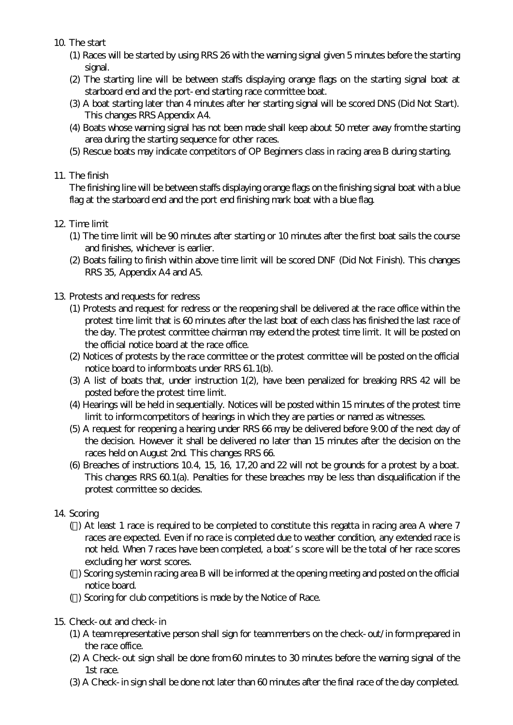10. The start

- (1) Races will be started by using RRS 26 with the warning signal given 5 minutes before the starting signal.
- (2) The starting line will be between staffs displaying orange flags on the starting signal boat at starboard end and the port-end starting race committee boat.
- (3) A boat starting later than 4 minutes after her starting signal will be scored DNS (Did Not Start). This changes RRS Appendix A4.
- (4) Boats whose warning signal has not been made shall keep about 50 meter away from the starting area during the starting sequence for other races.
- (5) Rescue boats may indicate competitors of OP Beginners class in racing area B during starting.

# 11. The finish

The finishing line will be between staffs displaying orange flags on the finishing signal boat with a blue flag at the starboard end and the port end finishing mark boat with a blue flag.

# 12. Time limit

- (1) The time limit will be 90 minutes after starting or 10 minutes after the first boat sails the course and finishes, whichever is earlier.
- (2) Boats failing to finish within above time limit will be scored DNF (Did Not Finish). This changes RRS 35, Appendix A4 and A5.

#### 13. Protests and requests for redress

- (1) Protests and request for redress or the reopening shall be delivered at the race office within the protest time limit that is 60 minutes after the last boat of each class has finished the last race of the day. The protest committee chairman may extend the protest time limit. It will be posted on the official notice board at the race office.
- (2) Notices of protests by the race committee or the protest committee will be posted on the official notice board to inform boats under RRS 61.1(b).
- (3) A list of boats that, under instruction 1(2), have been penalized for breaking RRS 42 will be posted before the protest time limit.
- (4) Hearings will be held in sequentially. Notices will be posted within 15 minutes of the protest time limit to inform competitors of hearings in which they are parties or named as witnesses.
- (5) A request for reopening a hearing under RRS 66 may be delivered before 9:00 of the next day of the decision. However it shall be delivered no later than 15 minutes after the decision on the races held on August 2nd. This changes RRS 66.
- (6) Breaches of instructions 10.4, 15, 16, 17,20 and 22 will not be grounds for a protest by a boat. This changes RRS 60.1(a). Penalties for these breaches may be less than disqualification if the protest committee so decides.

# 14. Scoring

- ( ) At least 1 race is required to be completed to constitute this regatta in racing area A where 7 races are expected. Even if no race is completed due to weather condition, any extended race is not held. When 7 races have been completed, a boat s score will be the total of her race scores excluding her worst scores.
- ( ) Scoring system in racing area B will be informed at the opening meeting and posted on the official notice board.
- ( ) Scoring for club competitions is made by the Notice of Race.
- 15. Check-out and check-in
	- (1) A team representative person shall sign for team members on the check-out/in form prepared in the race office.
	- (2) A Check-out sign shall be done from 60 minutes to 30 minutes before the warning signal of the 1st race.
	- (3) A Check-in sign shall be done not later than 60 minutes after the final race of the day completed.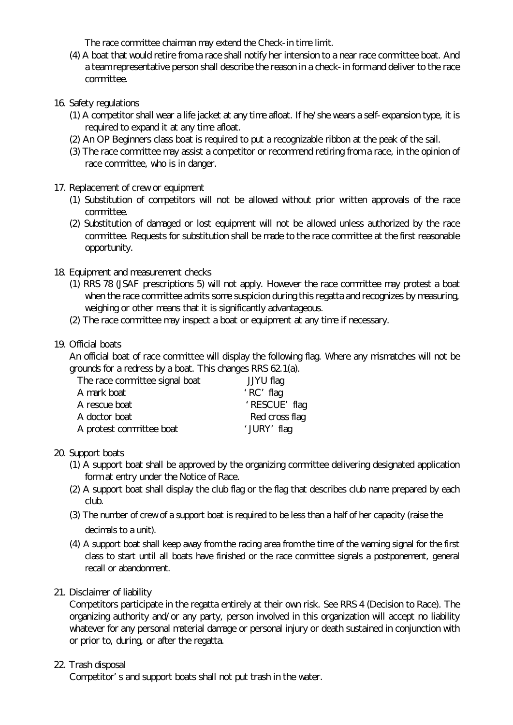The race committee chairman may extend the Check-in time limit.

- (4) A boat that would retire from a race shall notify her intension to a near race committee boat. And a team representative person shall describe the reason in a check-in form and deliver to the race committee.
- 16. Safety regulations
	- (1) A competitor shall wear a life jacket at any time afloat. If he/she wears a self-expansion type, it is required to expand it at any time afloat.
	- (2) An OP Beginners class boat is required to put a recognizable ribbon at the peak of the sail.
	- (3) The race committee may assist a competitor or recommend retiring from a race, in the opinion of race committee, who is in danger.

#### 17. Replacement of crew or equipment

- (1) Substitution of competitors will not be allowed without prior written approvals of the race committee.
- (2) Substitution of damaged or lost equipment will not be allowed unless authorized by the race committee. Requests for substitution shall be made to the race committee at the first reasonable opportunity.
- 18. Equipment and measurement checks
	- (1) RRS 78 (JSAF prescriptions 5) will not apply. However the race committee may protest a boat when the race committee admits some suspicion during this regatta and recognizes by measuring, weighing or other means that it is significantly advantageous.
	- (2) The race committee may inspect a boat or equipment at any time if necessary.
- 19. Official boats

An official boat of race committee will display the following flag. Where any mismatches will not be grounds for a redress by a boat. This changes RRS 62.1(a).

| The race committee signal boat | JJYU flag      |
|--------------------------------|----------------|
| A mark boat                    | $RC$ flag      |
| A rescue boat                  | RESCUE flag    |
| A doctor boat                  | Red cross flag |
| A protest committee boat       | JURY flag      |

#### 20. Support boats

- (1) A support boat shall be approved by the organizing committee delivering designated application form at entry under the Notice of Race.
- (2) A support boat shall display the club flag or the flag that describes club name prepared by each club.
- (3) The number of crew of a support boat is required to be less than a half of her capacity (raise the decimals to a unit).
- (4) A support boat shall keep away from the racing area from the time of the warning signal for the first class to start until all boats have finished or the race committee signals a postponement, general recall or abandonment.

#### 21. Disclaimer of liability

Competitors participate in the regatta entirely at their own risk. See RRS 4 (Decision to Race). The organizing authority and/or any party, person involved in this organization will accept no liability whatever for any personal material damage or personal injury or death sustained in conjunction with or prior to, during, or after the regatta.

#### 22. Trash disposal

Competitor s and support boats shall not put trash in the water.